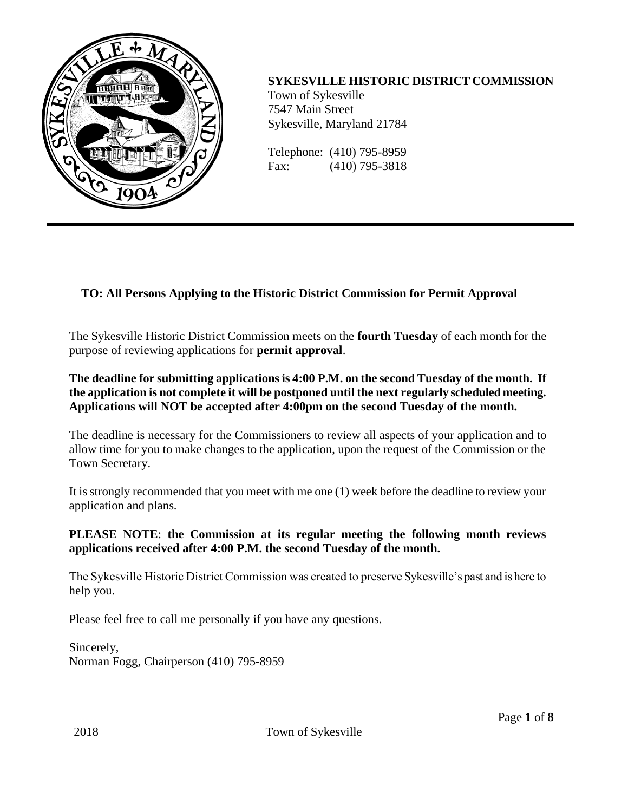

## **SYKESVILLE HISTORIC DISTRICT COMMISSION**

Town of Sykesville 7547 Main Street Sykesville, Maryland 21784

Telephone: (410) 795-8959 Fax: (410) 795-3818

## **TO: All Persons Applying to the Historic District Commission for Permit Approval**

The Sykesville Historic District Commission meets on the **fourth Tuesday** of each month for the purpose of reviewing applications for **permit approval**.

**The deadline for submitting applications is 4:00 P.M. on the second Tuesday of the month. If the application is not complete it will be postponed until the next regularly scheduled meeting. Applications will NOT be accepted after 4:00pm on the second Tuesday of the month.**

The deadline is necessary for the Commissioners to review all aspects of your application and to allow time for you to make changes to the application, upon the request of the Commission or the Town Secretary.

It is strongly recommended that you meet with me one (1) week before the deadline to review your application and plans.

#### **PLEASE NOTE**: **the Commission at its regular meeting the following month reviews applications received after 4:00 P.M. the second Tuesday of the month.**

The Sykesville Historic District Commission was created to preserve Sykesville's past and is here to help you.

Please feel free to call me personally if you have any questions.

Sincerely, Norman Fogg, Chairperson (410) 795-8959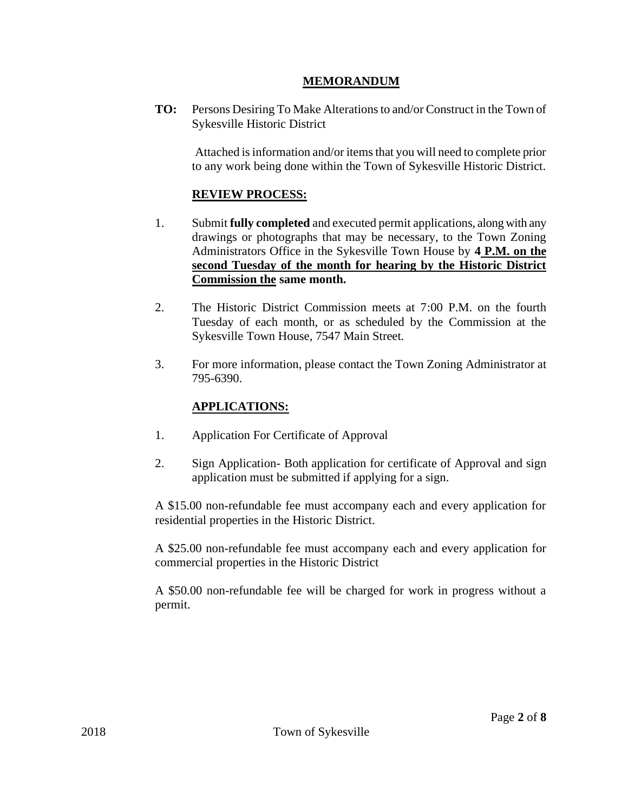### **MEMORANDUM**

**TO:** Persons Desiring To Make Alterations to and/or Construct in the Town of Sykesville Historic District

 Attached is information and/or items that you will need to complete prior to any work being done within the Town of Sykesville Historic District.

## **REVIEW PROCESS:**

- 1. Submit **fully completed** and executed permit applications, along with any drawings or photographs that may be necessary, to the Town Zoning Administrators Office in the Sykesville Town House by **4 P.M. on the second Tuesday of the month for hearing by the Historic District Commission the same month.**
- 2. The Historic District Commission meets at 7:00 P.M. on the fourth Tuesday of each month, or as scheduled by the Commission at the Sykesville Town House, 7547 Main Street.
- 3. For more information, please contact the Town Zoning Administrator at 795-6390.

## **APPLICATIONS:**

- 1. Application For Certificate of Approval
- 2. Sign Application- Both application for certificate of Approval and sign application must be submitted if applying for a sign.

A \$15.00 non-refundable fee must accompany each and every application for residential properties in the Historic District.

A \$25.00 non-refundable fee must accompany each and every application for commercial properties in the Historic District

A \$50.00 non-refundable fee will be charged for work in progress without a permit.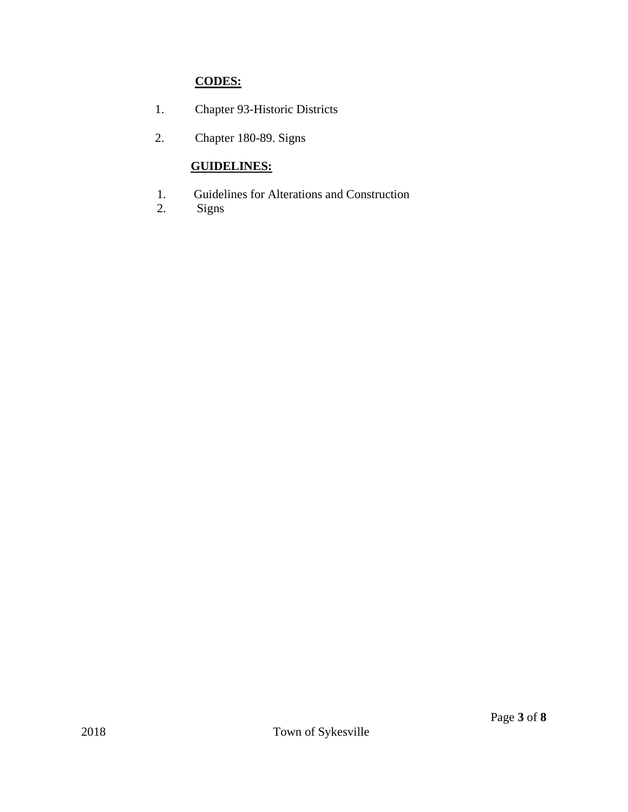# **CODES:**

- 1. Chapter 93-Historic Districts
- 2. Chapter 180-89. Signs

# **GUIDELINES:**

- 1. Guidelines for Alterations and Construction<br>2. Signs
- Signs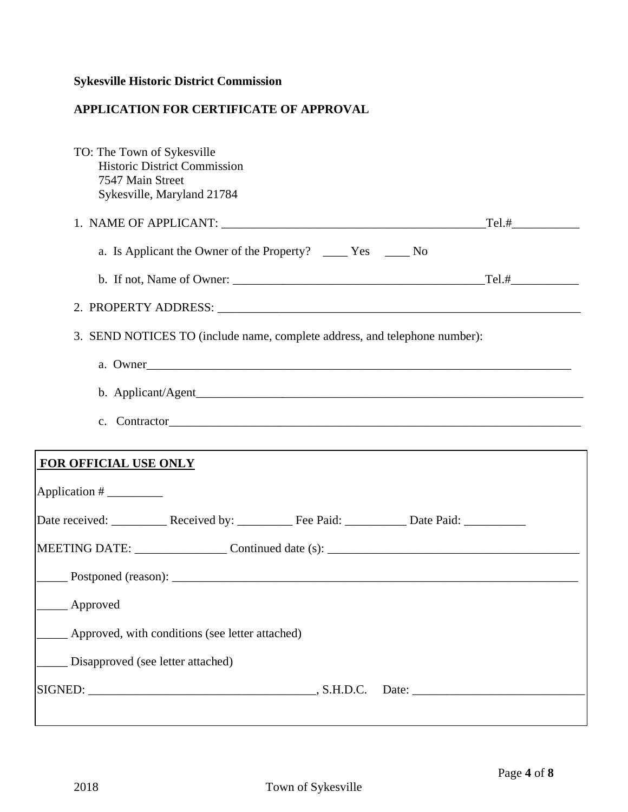# **Sykesville Historic District Commission**

## **APPLICATION FOR CERTIFICATE OF APPROVAL**

| TO: The Town of Sykesville<br><b>Historic District Commission</b><br>7547 Main Street<br>Sykesville, Maryland 21784 |  |
|---------------------------------------------------------------------------------------------------------------------|--|
|                                                                                                                     |  |
|                                                                                                                     |  |
|                                                                                                                     |  |
|                                                                                                                     |  |
| 3. SEND NOTICES TO (include name, complete address, and telephone number):                                          |  |
| a. Owner                                                                                                            |  |
|                                                                                                                     |  |
|                                                                                                                     |  |
| FOR OFFICIAL USE ONLY                                                                                               |  |
|                                                                                                                     |  |
|                                                                                                                     |  |
| Date received: ____________ Received by: ___________ Fee Paid: ____________ Date Paid: ____________                 |  |
| MEETING DATE: $\_\_\_\_\_\_\_\_\$ Continued date (s): $\_\_\_\_\_\_\_\_\_\_\_\_\_\_\_\_\_\_\_\_\_\_\_\_\_$          |  |
|                                                                                                                     |  |
| ______ Approved                                                                                                     |  |
| _____ Approved, with conditions (see letter attached)                                                               |  |
| Disapproved (see letter attached)                                                                                   |  |
|                                                                                                                     |  |
|                                                                                                                     |  |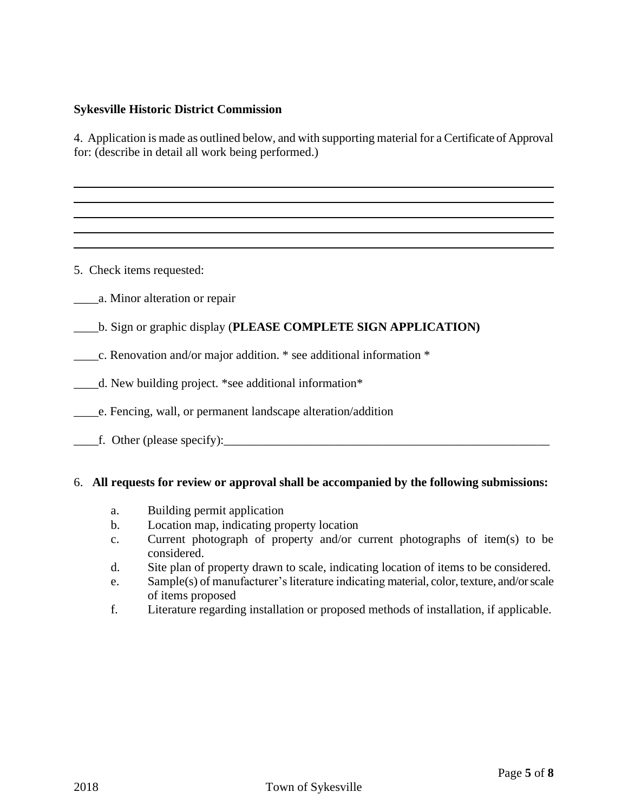#### **Sykesville Historic District Commission**

4. Application is made as outlined below, and with supporting material for a Certificate of Approval for: (describe in detail all work being performed.)

5. Check items requested:

- \_\_\_\_a. Minor alteration or repair
- \_\_\_\_b. Sign or graphic display (**PLEASE COMPLETE SIGN APPLICATION)**
- \_\_\_\_c. Renovation and/or major addition. \* see additional information \*
- \_\_\_\_d. New building project. \*see additional information\*
- \_\_\_\_e. Fencing, wall, or permanent landscape alteration/addition
- \_\_\_\_f. Other (please specify):\_\_\_\_\_\_\_\_\_\_\_\_\_\_\_\_\_\_\_\_\_\_\_\_\_\_\_\_\_\_\_\_\_\_\_\_\_\_\_\_\_\_\_\_\_\_\_\_\_\_\_\_\_

#### 6. **All requests for review or approval shall be accompanied by the following submissions:**

- a. Building permit application
- b. Location map, indicating property location
- c. Current photograph of property and/or current photographs of item(s) to be considered.
- d. Site plan of property drawn to scale, indicating location of items to be considered.
- e. Sample(s) of manufacturer's literature indicating material, color, texture, and/or scale of items proposed
- f. Literature regarding installation or proposed methods of installation, if applicable.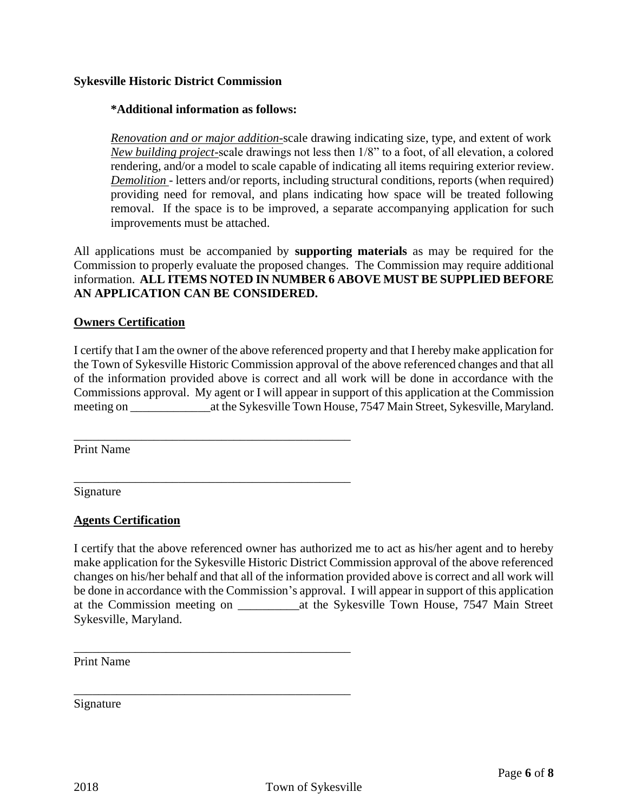#### **Sykesville Historic District Commission**

#### **\*Additional information as follows:**

\_\_\_\_\_\_\_\_\_\_\_\_\_\_\_\_\_\_\_\_\_\_\_\_\_\_\_\_\_\_\_\_\_\_\_\_\_\_\_\_\_\_\_\_\_

\_\_\_\_\_\_\_\_\_\_\_\_\_\_\_\_\_\_\_\_\_\_\_\_\_\_\_\_\_\_\_\_\_\_\_\_\_\_\_\_\_\_\_\_\_

\_\_\_\_\_\_\_\_\_\_\_\_\_\_\_\_\_\_\_\_\_\_\_\_\_\_\_\_\_\_\_\_\_\_\_\_\_\_\_\_\_\_\_\_\_

\_\_\_\_\_\_\_\_\_\_\_\_\_\_\_\_\_\_\_\_\_\_\_\_\_\_\_\_\_\_\_\_\_\_\_\_\_\_\_\_\_\_\_\_\_

*Renovation and or major addition-*scale drawing indicating size, type, and extent of work *New building project-*scale drawings not less then 1/8" to a foot, of all elevation, a colored rendering, and/or a model to scale capable of indicating all items requiring exterior review. *Demolition* - letters and/or reports, including structural conditions, reports (when required) providing need for removal, and plans indicating how space will be treated following removal. If the space is to be improved, a separate accompanying application for such improvements must be attached.

All applications must be accompanied by **supporting materials** as may be required for the Commission to properly evaluate the proposed changes. The Commission may require additional information. **ALL ITEMS NOTED IN NUMBER 6 ABOVE MUST BE SUPPLIED BEFORE AN APPLICATION CAN BE CONSIDERED.**

#### **Owners Certification**

I certify that I am the owner of the above referenced property and that I hereby make application for the Town of Sykesville Historic Commission approval of the above referenced changes and that all of the information provided above is correct and all work will be done in accordance with the Commissions approval. My agent or I will appear in support of this application at the Commission meeting on at the Sykesville Town House, 7547 Main Street, Sykesville, Maryland.

Print Name

Signature

#### **Agents Certification**

I certify that the above referenced owner has authorized me to act as his/her agent and to hereby make application for the Sykesville Historic District Commission approval of the above referenced changes on his/her behalf and that all of the information provided above is correct and all work will be done in accordance with the Commission's approval. I will appear in support of this application at the Commission meeting on at the Sykesville Town House, 7547 Main Street Sykesville, Maryland.

Print Name

Signature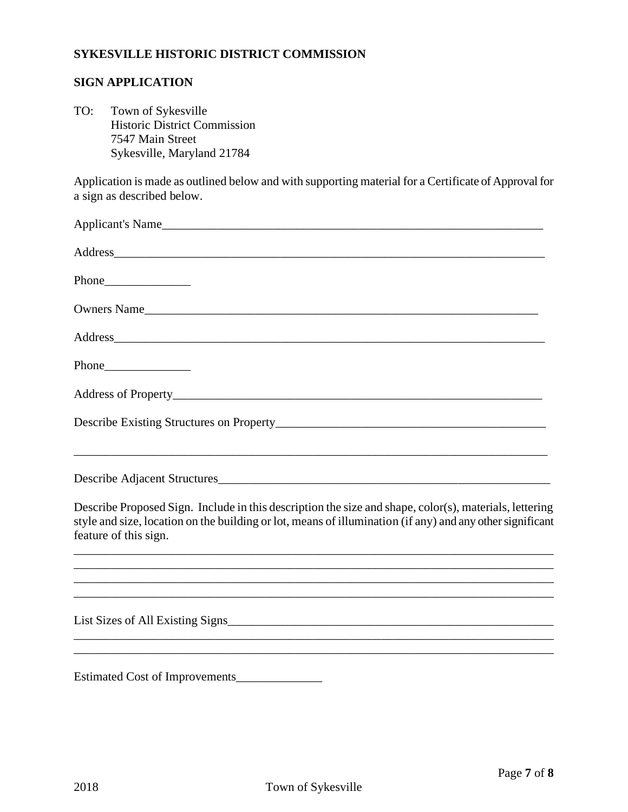#### **SYKESVILLE HISTORIC DISTRICT COMMISSION**

#### **SIGN APPLICATION**

TO: Town of Sykesville Historic District Commission 7547 Main Street Sykesville, Maryland 21784

Application is made as outlined below and with supporting material for a Certificate of Approval for a sign as described below.

| Applicant's Name                                                                                                                                                                                                                             |
|----------------------------------------------------------------------------------------------------------------------------------------------------------------------------------------------------------------------------------------------|
| Address and the contract of the contract of the contract of the contract of the contract of the contract of the contract of the contract of the contract of the contract of the contract of the contract of the contract of th               |
|                                                                                                                                                                                                                                              |
| Owners Name                                                                                                                                                                                                                                  |
| Address and the contract of the contract of the contract of the contract of the contract of the contract of the contract of the contract of the contract of the contract of the contract of the contract of the contract of th               |
|                                                                                                                                                                                                                                              |
|                                                                                                                                                                                                                                              |
|                                                                                                                                                                                                                                              |
| Describe Adjacent Structures                                                                                                                                                                                                                 |
| Describe Proposed Sign. Include in this description the size and shape, color(s), materials, lettering<br>style and size, location on the building or lot, means of illumination (if any) and any other significant<br>feature of this sign. |
|                                                                                                                                                                                                                                              |
|                                                                                                                                                                                                                                              |

Estimated Cost of Improvements\_\_\_\_\_\_\_\_\_\_\_\_\_\_